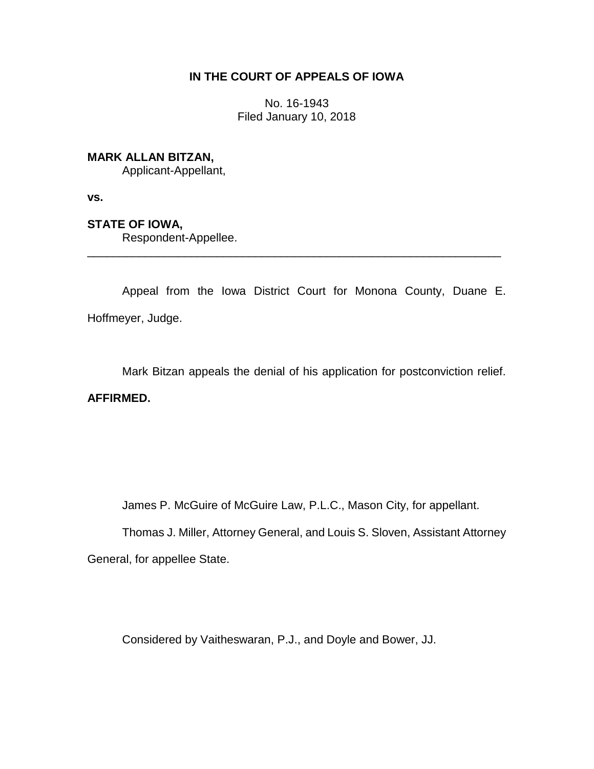# **IN THE COURT OF APPEALS OF IOWA**

No. 16-1943 Filed January 10, 2018

### **MARK ALLAN BITZAN,**

Applicant-Appellant,

**vs.**

# **STATE OF IOWA,**

Respondent-Appellee.

Appeal from the Iowa District Court for Monona County, Duane E. Hoffmeyer, Judge.

\_\_\_\_\_\_\_\_\_\_\_\_\_\_\_\_\_\_\_\_\_\_\_\_\_\_\_\_\_\_\_\_\_\_\_\_\_\_\_\_\_\_\_\_\_\_\_\_\_\_\_\_\_\_\_\_\_\_\_\_\_\_\_\_

Mark Bitzan appeals the denial of his application for postconviction relief.

# **AFFIRMED.**

James P. McGuire of McGuire Law, P.L.C., Mason City, for appellant.

Thomas J. Miller, Attorney General, and Louis S. Sloven, Assistant Attorney

General, for appellee State.

Considered by Vaitheswaran, P.J., and Doyle and Bower, JJ.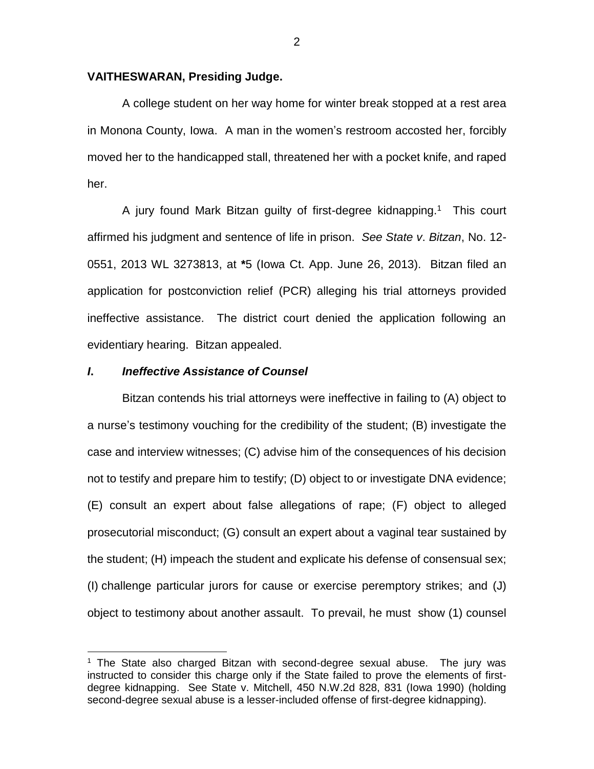### **VAITHESWARAN, Presiding Judge.**

A college student on her way home for winter break stopped at a rest area in Monona County, Iowa. A man in the women's restroom accosted her, forcibly moved her to the handicapped stall, threatened her with a pocket knife, and raped her.

A jury found Mark Bitzan guilty of first-degree kidnapping. <sup>1</sup> This court affirmed his judgment and sentence of life in prison. *See State v*. *Bitzan*, No. 12- 0551, 2013 WL 3273813, at **\***5 (Iowa Ct. App. June 26, 2013). Bitzan filed an application for postconviction relief (PCR) alleging his trial attorneys provided ineffective assistance. The district court denied the application following an evidentiary hearing. Bitzan appealed.

#### *I***.** *Ineffective Assistance of Counsel*

 $\overline{a}$ 

Bitzan contends his trial attorneys were ineffective in failing to (A) object to a nurse's testimony vouching for the credibility of the student; (B) investigate the case and interview witnesses; (C) advise him of the consequences of his decision not to testify and prepare him to testify; (D) object to or investigate DNA evidence; (E) consult an expert about false allegations of rape; (F) object to alleged prosecutorial misconduct; (G) consult an expert about a vaginal tear sustained by the student; (H) impeach the student and explicate his defense of consensual sex; (I) challenge particular jurors for cause or exercise peremptory strikes; and (J) object to testimony about another assault. To prevail, he must show (1) counsel

 $1$  The State also charged Bitzan with second-degree sexual abuse. The jury was instructed to consider this charge only if the State failed to prove the elements of firstdegree kidnapping. See State v. Mitchell, 450 N.W.2d 828, 831 (Iowa 1990) (holding second-degree sexual abuse is a lesser-included offense of first-degree kidnapping).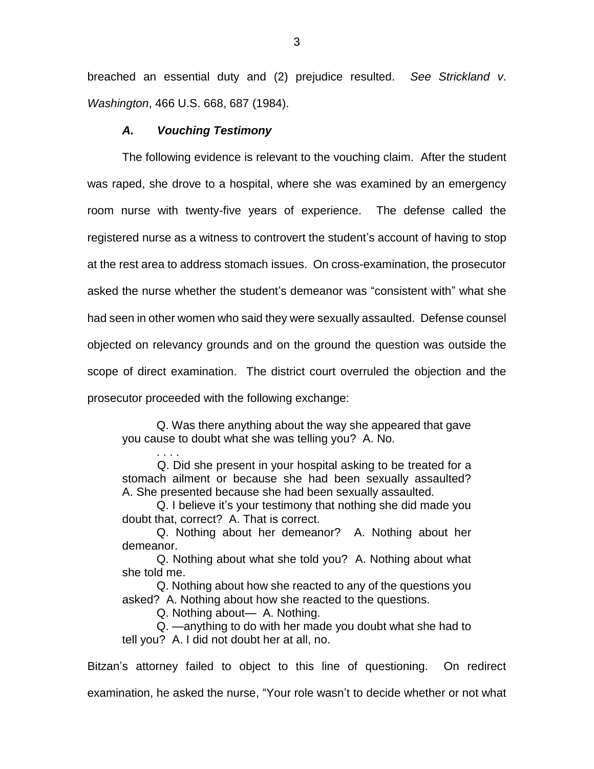breached an essential duty and (2) prejudice resulted. *See Strickland v*. *Washington*, 466 U.S. 668, 687 (1984).

### *A. Vouching Testimony*

The following evidence is relevant to the vouching claim. After the student was raped, she drove to a hospital, where she was examined by an emergency room nurse with twenty-five years of experience. The defense called the registered nurse as a witness to controvert the student's account of having to stop at the rest area to address stomach issues. On cross-examination, the prosecutor asked the nurse whether the student's demeanor was "consistent with" what she had seen in other women who said they were sexually assaulted. Defense counsel objected on relevancy grounds and on the ground the question was outside the scope of direct examination. The district court overruled the objection and the prosecutor proceeded with the following exchange:

Q. Was there anything about the way she appeared that gave you cause to doubt what she was telling you? A. No.

. . . . Q. Did she present in your hospital asking to be treated for a stomach ailment or because she had been sexually assaulted? A. She presented because she had been sexually assaulted.

Q. I believe it's your testimony that nothing she did made you doubt that, correct? A. That is correct.

Q. Nothing about her demeanor? A. Nothing about her demeanor.

Q. Nothing about what she told you? A. Nothing about what she told me.

Q. Nothing about how she reacted to any of the questions you asked? A. Nothing about how she reacted to the questions.

Q. Nothing about— A. Nothing.

Q. —anything to do with her made you doubt what she had to tell you? A. I did not doubt her at all, no.

Bitzan's attorney failed to object to this line of questioning. On redirect examination, he asked the nurse, "Your role wasn't to decide whether or not what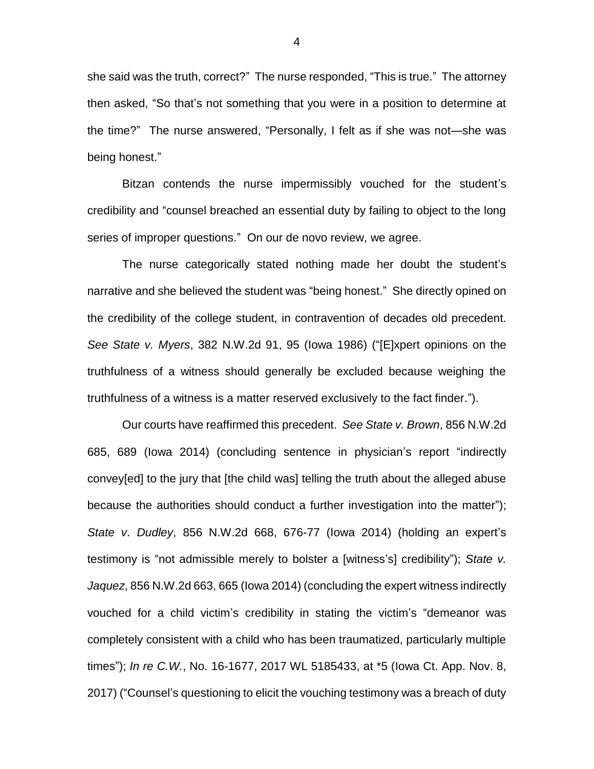she said was the truth, correct?" The nurse responded, "This is true." The attorney then asked, "So that's not something that you were in a position to determine at the time?" The nurse answered, "Personally, I felt as if she was not—she was being honest."

Bitzan contends the nurse impermissibly vouched for the student's credibility and "counsel breached an essential duty by failing to object to the long series of improper questions." On our de novo review, we agree.

The nurse categorically stated nothing made her doubt the student's narrative and she believed the student was "being honest." She directly opined on the credibility of the college student, in contravention of decades old precedent. *See State v. Myers*, 382 N.W.2d 91, 95 (Iowa 1986) ("[E]xpert opinions on the truthfulness of a witness should generally be excluded because weighing the truthfulness of a witness is a matter reserved exclusively to the fact finder.").

Our courts have reaffirmed this precedent. *See State v. Brown*, 856 N.W.2d 685, 689 (Iowa 2014) (concluding sentence in physician's report "indirectly convey[ed] to the jury that [the child was] telling the truth about the alleged abuse because the authorities should conduct a further investigation into the matter"); *State v*. *Dudley*, 856 N.W.2d 668, 676-77 (Iowa 2014) (holding an expert's testimony is "not admissible merely to bolster a [witness's] credibility"); *State v. Jaquez*, 856 N.W.2d 663, 665 (Iowa 2014) (concluding the expert witness indirectly vouched for a child victim's credibility in stating the victim's "demeanor was completely consistent with a child who has been traumatized, particularly multiple times"); *In re C.W.*, No. 16-1677, 2017 WL 5185433, at \*5 (Iowa Ct. App. Nov. 8, 2017) ("Counsel's questioning to elicit the vouching testimony was a breach of duty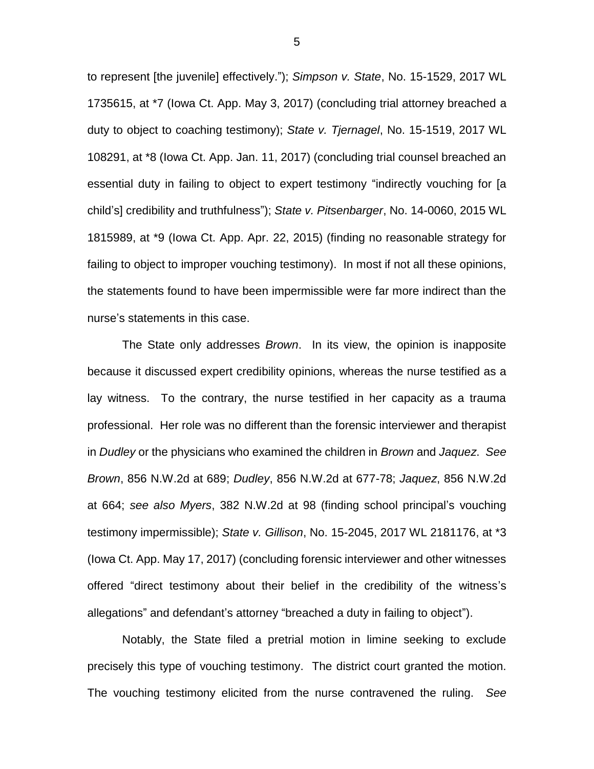to represent [the juvenile] effectively."); *Simpson v. State*, No. 15-1529, 2017 WL 1735615, at \*7 (Iowa Ct. App. May 3, 2017) (concluding trial attorney breached a duty to object to coaching testimony); *State v. Tjernagel*, No. 15-1519, 2017 WL 108291, at \*8 (Iowa Ct. App. Jan. 11, 2017) (concluding trial counsel breached an essential duty in failing to object to expert testimony "indirectly vouching for [a child's] credibility and truthfulness"); *State v. Pitsenbarger*, No. 14-0060, 2015 WL 1815989, at \*9 (Iowa Ct. App. Apr. 22, 2015) (finding no reasonable strategy for failing to object to improper vouching testimony). In most if not all these opinions, the statements found to have been impermissible were far more indirect than the nurse's statements in this case.

The State only addresses *Brown*. In its view, the opinion is inapposite because it discussed expert credibility opinions, whereas the nurse testified as a lay witness. To the contrary, the nurse testified in her capacity as a trauma professional. Her role was no different than the forensic interviewer and therapist in *Dudley* or the physicians who examined the children in *Brown* and *Jaquez*. *See Brown*, 856 N.W.2d at 689; *Dudley*, 856 N.W.2d at 677-78; *Jaquez*, 856 N.W.2d at 664; *see also Myers*, 382 N.W.2d at 98 (finding school principal's vouching testimony impermissible); *State v. Gillison*, No. 15-2045, 2017 WL 2181176, at \*3 (Iowa Ct. App. May 17, 2017) (concluding forensic interviewer and other witnesses offered "direct testimony about their belief in the credibility of the witness's allegations" and defendant's attorney "breached a duty in failing to object").

Notably, the State filed a pretrial motion in limine seeking to exclude precisely this type of vouching testimony. The district court granted the motion. The vouching testimony elicited from the nurse contravened the ruling. *See*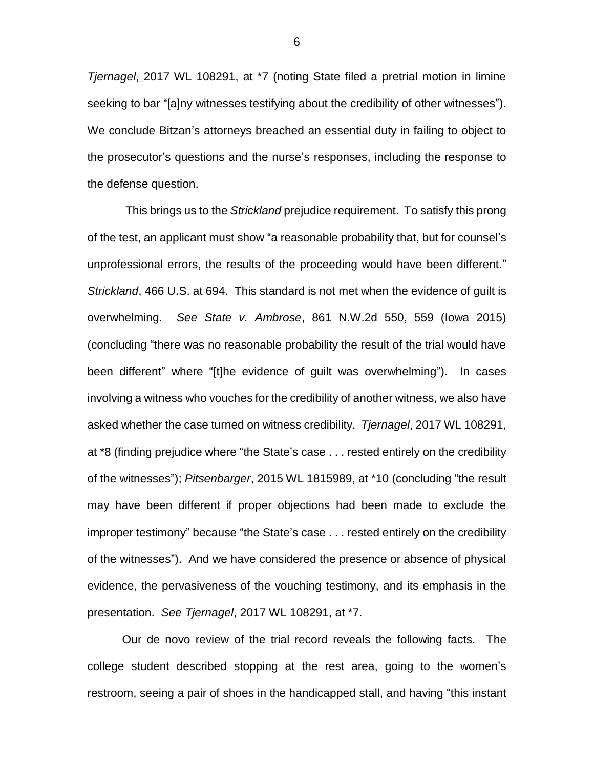*Tjernagel*, 2017 WL 108291, at \*7 (noting State filed a pretrial motion in limine seeking to bar "[a]ny witnesses testifying about the credibility of other witnesses"). We conclude Bitzan's attorneys breached an essential duty in failing to object to the prosecutor's questions and the nurse's responses, including the response to the defense question.

This brings us to the *Strickland* prejudice requirement. To satisfy this prong of the test, an applicant must show "a reasonable probability that, but for counsel's unprofessional errors, the results of the proceeding would have been different." *Strickland*, 466 U.S. at 694. This standard is not met when the evidence of guilt is overwhelming. *See State v. Ambrose*, 861 N.W.2d 550, 559 (Iowa 2015) (concluding "there was no reasonable probability the result of the trial would have been different" where "[t]he evidence of guilt was overwhelming"). In cases involving a witness who vouches for the credibility of another witness, we also have asked whether the case turned on witness credibility. *Tjernagel*, 2017 WL 108291, at \*8 (finding prejudice where "the State's case . . . rested entirely on the credibility of the witnesses"); *Pitsenbarger*, 2015 WL 1815989, at \*10 (concluding "the result may have been different if proper objections had been made to exclude the improper testimony" because "the State's case . . . rested entirely on the credibility of the witnesses"). And we have considered the presence or absence of physical evidence, the pervasiveness of the vouching testimony, and its emphasis in the presentation. *See Tjernagel*, 2017 WL 108291, at \*7.

Our de novo review of the trial record reveals the following facts. The college student described stopping at the rest area, going to the women's restroom, seeing a pair of shoes in the handicapped stall, and having "this instant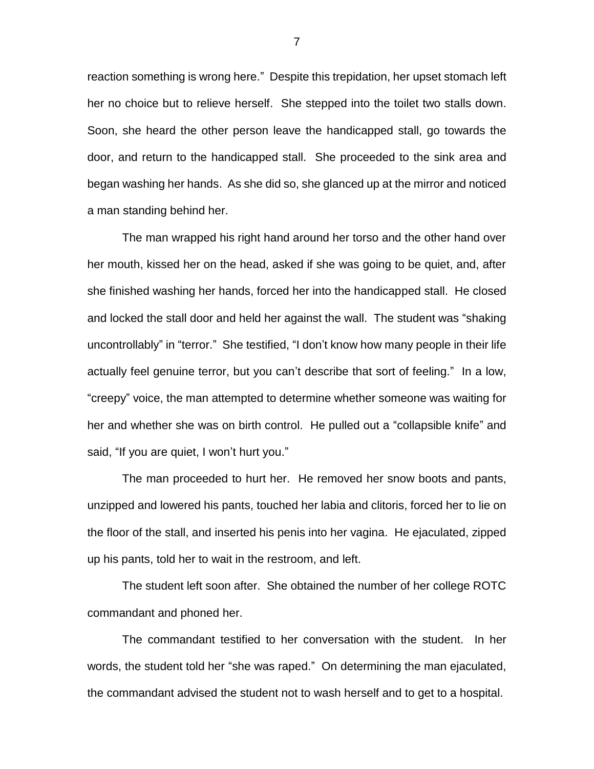reaction something is wrong here." Despite this trepidation, her upset stomach left her no choice but to relieve herself. She stepped into the toilet two stalls down. Soon, she heard the other person leave the handicapped stall, go towards the door, and return to the handicapped stall. She proceeded to the sink area and began washing her hands. As she did so, she glanced up at the mirror and noticed a man standing behind her.

The man wrapped his right hand around her torso and the other hand over her mouth, kissed her on the head, asked if she was going to be quiet, and, after she finished washing her hands, forced her into the handicapped stall. He closed and locked the stall door and held her against the wall. The student was "shaking uncontrollably" in "terror." She testified, "I don't know how many people in their life actually feel genuine terror, but you can't describe that sort of feeling." In a low, "creepy" voice, the man attempted to determine whether someone was waiting for her and whether she was on birth control. He pulled out a "collapsible knife" and said, "If you are quiet, I won't hurt you."

The man proceeded to hurt her. He removed her snow boots and pants, unzipped and lowered his pants, touched her labia and clitoris, forced her to lie on the floor of the stall, and inserted his penis into her vagina. He ejaculated, zipped up his pants, told her to wait in the restroom, and left.

The student left soon after. She obtained the number of her college ROTC commandant and phoned her.

The commandant testified to her conversation with the student. In her words, the student told her "she was raped." On determining the man ejaculated, the commandant advised the student not to wash herself and to get to a hospital.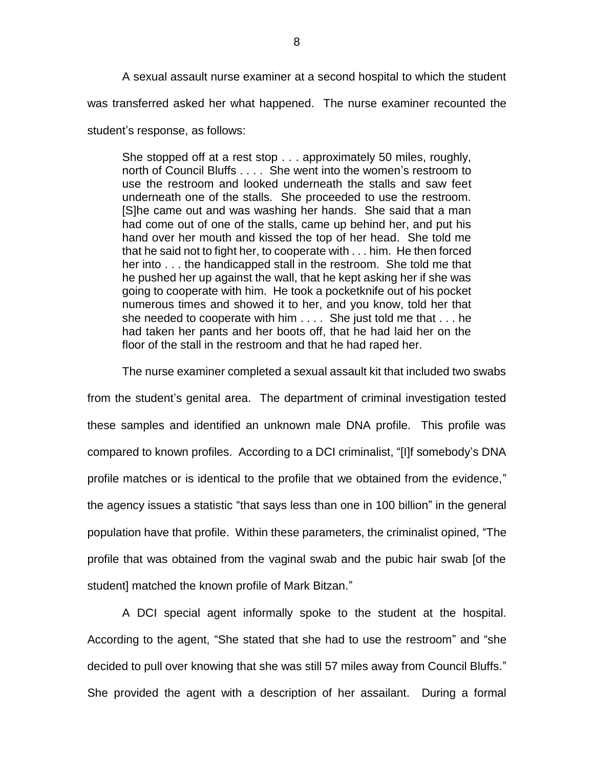A sexual assault nurse examiner at a second hospital to which the student was transferred asked her what happened. The nurse examiner recounted the

student's response, as follows:

She stopped off at a rest stop . . . approximately 50 miles, roughly, north of Council Bluffs . . . . She went into the women's restroom to use the restroom and looked underneath the stalls and saw feet underneath one of the stalls. She proceeded to use the restroom. [S]he came out and was washing her hands. She said that a man had come out of one of the stalls, came up behind her, and put his hand over her mouth and kissed the top of her head. She told me that he said not to fight her, to cooperate with . . . him. He then forced her into . . . the handicapped stall in the restroom. She told me that he pushed her up against the wall, that he kept asking her if she was going to cooperate with him. He took a pocketknife out of his pocket numerous times and showed it to her, and you know, told her that she needed to cooperate with him . . . . She just told me that . . . he had taken her pants and her boots off, that he had laid her on the floor of the stall in the restroom and that he had raped her.

The nurse examiner completed a sexual assault kit that included two swabs

from the student's genital area. The department of criminal investigation tested these samples and identified an unknown male DNA profile. This profile was compared to known profiles. According to a DCI criminalist, "[I]f somebody's DNA profile matches or is identical to the profile that we obtained from the evidence," the agency issues a statistic "that says less than one in 100 billion" in the general population have that profile. Within these parameters, the criminalist opined, "The profile that was obtained from the vaginal swab and the pubic hair swab [of the student] matched the known profile of Mark Bitzan."

A DCI special agent informally spoke to the student at the hospital. According to the agent, "She stated that she had to use the restroom" and "she decided to pull over knowing that she was still 57 miles away from Council Bluffs." She provided the agent with a description of her assailant. During a formal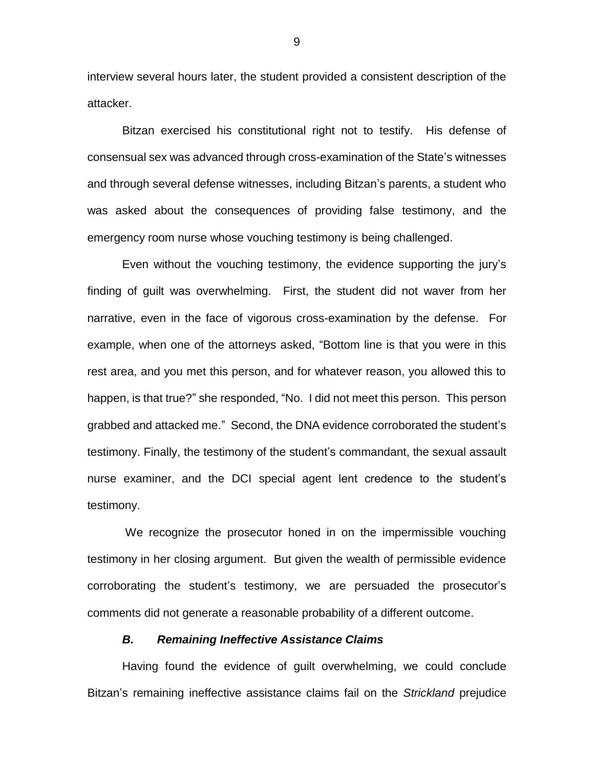interview several hours later, the student provided a consistent description of the attacker.

Bitzan exercised his constitutional right not to testify. His defense of consensual sex was advanced through cross-examination of the State's witnesses and through several defense witnesses, including Bitzan's parents, a student who was asked about the consequences of providing false testimony, and the emergency room nurse whose vouching testimony is being challenged.

Even without the vouching testimony, the evidence supporting the jury's finding of guilt was overwhelming. First, the student did not waver from her narrative, even in the face of vigorous cross-examination by the defense. For example, when one of the attorneys asked, "Bottom line is that you were in this rest area, and you met this person, and for whatever reason, you allowed this to happen, is that true?" she responded, "No. I did not meet this person. This person grabbed and attacked me." Second, the DNA evidence corroborated the student's testimony. Finally, the testimony of the student's commandant, the sexual assault nurse examiner, and the DCI special agent lent credence to the student's testimony.

We recognize the prosecutor honed in on the impermissible vouching testimony in her closing argument. But given the wealth of permissible evidence corroborating the student's testimony, we are persuaded the prosecutor's comments did not generate a reasonable probability of a different outcome.

#### *B. Remaining Ineffective Assistance Claims*

Having found the evidence of guilt overwhelming, we could conclude Bitzan's remaining ineffective assistance claims fail on the *Strickland* prejudice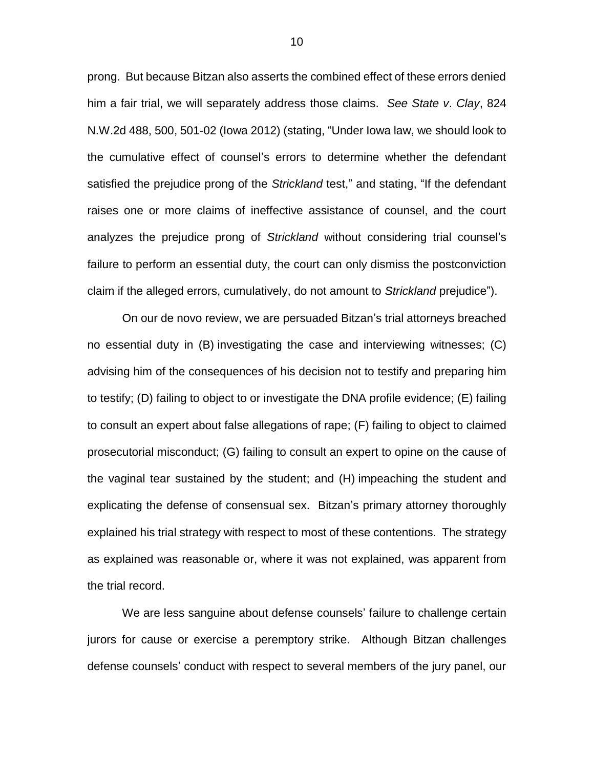prong. But because Bitzan also asserts the combined effect of these errors denied him a fair trial, we will separately address those claims. *See State v*. *Clay*, 824 N.W.2d 488, 500, 501-02 (Iowa 2012) (stating, "Under Iowa law, we should look to the cumulative effect of counsel's errors to determine whether the defendant satisfied the prejudice prong of the *Strickland* test," and stating, "If the defendant raises one or more claims of ineffective assistance of counsel, and the court analyzes the prejudice prong of *Strickland* without considering trial counsel's failure to perform an essential duty, the court can only dismiss the postconviction claim if the alleged errors, cumulatively, do not amount to *Strickland* prejudice").

On our de novo review, we are persuaded Bitzan's trial attorneys breached no essential duty in (B) investigating the case and interviewing witnesses; (C) advising him of the consequences of his decision not to testify and preparing him to testify; (D) failing to object to or investigate the DNA profile evidence; (E) failing to consult an expert about false allegations of rape; (F) failing to object to claimed prosecutorial misconduct; (G) failing to consult an expert to opine on the cause of the vaginal tear sustained by the student; and (H) impeaching the student and explicating the defense of consensual sex. Bitzan's primary attorney thoroughly explained his trial strategy with respect to most of these contentions. The strategy as explained was reasonable or, where it was not explained, was apparent from the trial record.

We are less sanguine about defense counsels' failure to challenge certain jurors for cause or exercise a peremptory strike. Although Bitzan challenges defense counsels' conduct with respect to several members of the jury panel, our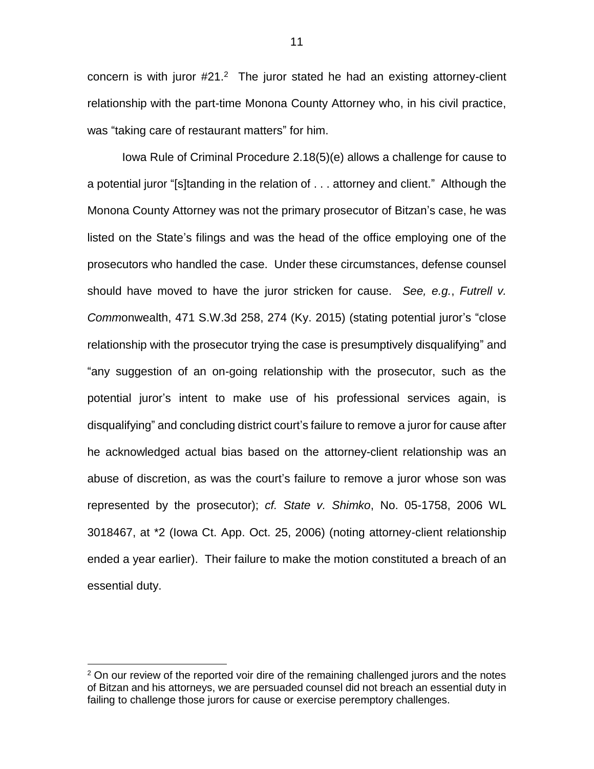concern is with juror  $#21<sup>2</sup>$  The juror stated he had an existing attorney-client relationship with the part-time Monona County Attorney who, in his civil practice, was "taking care of restaurant matters" for him.

Iowa Rule of Criminal Procedure 2.18(5)(e) allows a challenge for cause to a potential juror "[s]tanding in the relation of . . . attorney and client." Although the Monona County Attorney was not the primary prosecutor of Bitzan's case, he was listed on the State's filings and was the head of the office employing one of the prosecutors who handled the case. Under these circumstances, defense counsel should have moved to have the juror stricken for cause. *See, e.g.*, *Futrell v. Comm*onwealth, 471 S.W.3d 258, 274 (Ky. 2015) (stating potential juror's "close relationship with the prosecutor trying the case is presumptively disqualifying" and "any suggestion of an on-going relationship with the prosecutor, such as the potential juror's intent to make use of his professional services again, is disqualifying" and concluding district court's failure to remove a juror for cause after he acknowledged actual bias based on the attorney-client relationship was an abuse of discretion, as was the court's failure to remove a juror whose son was represented by the prosecutor); *cf. State v. Shimko*, No. 05-1758, 2006 WL 3018467, at \*2 (Iowa Ct. App. Oct. 25, 2006) (noting attorney-client relationship ended a year earlier). Their failure to make the motion constituted a breach of an essential duty.

 $\overline{a}$ 

 $2$  On our review of the reported voir dire of the remaining challenged jurors and the notes of Bitzan and his attorneys, we are persuaded counsel did not breach an essential duty in failing to challenge those jurors for cause or exercise peremptory challenges.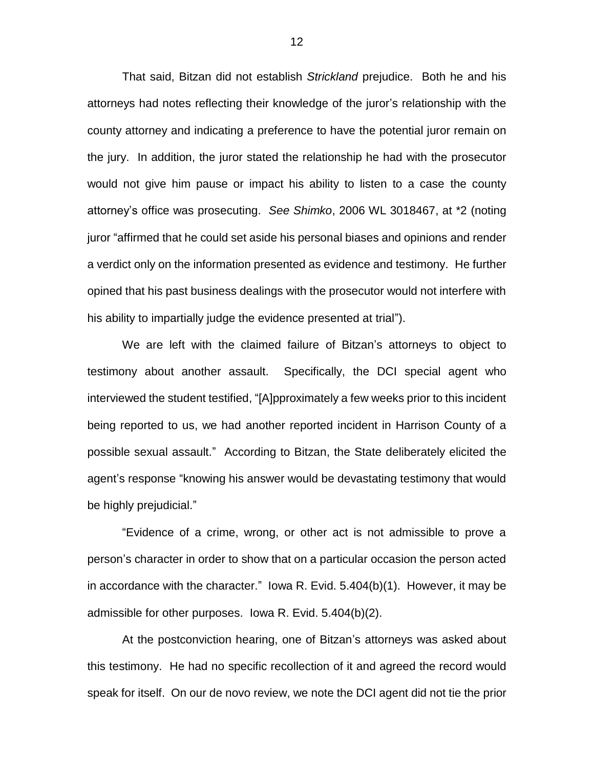That said, Bitzan did not establish *Strickland* prejudice. Both he and his attorneys had notes reflecting their knowledge of the juror's relationship with the county attorney and indicating a preference to have the potential juror remain on the jury. In addition, the juror stated the relationship he had with the prosecutor would not give him pause or impact his ability to listen to a case the county attorney's office was prosecuting. *See Shimko*, 2006 WL 3018467, at \*2 (noting juror "affirmed that he could set aside his personal biases and opinions and render a verdict only on the information presented as evidence and testimony. He further opined that his past business dealings with the prosecutor would not interfere with his ability to impartially judge the evidence presented at trial").

We are left with the claimed failure of Bitzan's attorneys to object to testimony about another assault. Specifically, the DCI special agent who interviewed the student testified, "[A]pproximately a few weeks prior to this incident being reported to us, we had another reported incident in Harrison County of a possible sexual assault." According to Bitzan, the State deliberately elicited the agent's response "knowing his answer would be devastating testimony that would be highly prejudicial."

"Evidence of a crime, wrong, or other act is not admissible to prove a person's character in order to show that on a particular occasion the person acted in accordance with the character." Iowa R. Evid. 5.404(b)(1). However, it may be admissible for other purposes. Iowa R. Evid. 5.404(b)(2).

At the postconviction hearing, one of Bitzan's attorneys was asked about this testimony. He had no specific recollection of it and agreed the record would speak for itself. On our de novo review, we note the DCI agent did not tie the prior